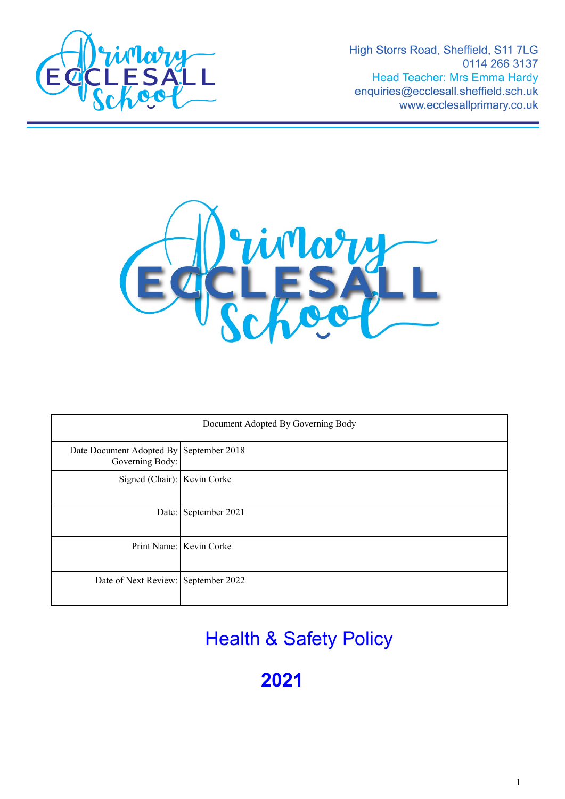

High Storrs Road, Sheffield, S11 7LG 0114 266 3137 **Head Teacher: Mrs Emma Hardy** enquiries@ecclesall.sheffield.sch.uk www.ecclesallprimary.co.uk



| Document Adopted By Governing Body                         |                         |
|------------------------------------------------------------|-------------------------|
| Date Document Adopted By September 2018<br>Governing Body: |                         |
| Signed (Chair): Kevin Corke                                |                         |
|                                                            | Date: September 2021    |
|                                                            | Print Name: Kevin Corke |
| Date of Next Review: September 2022                        |                         |

Health & Safety Policy

**2021**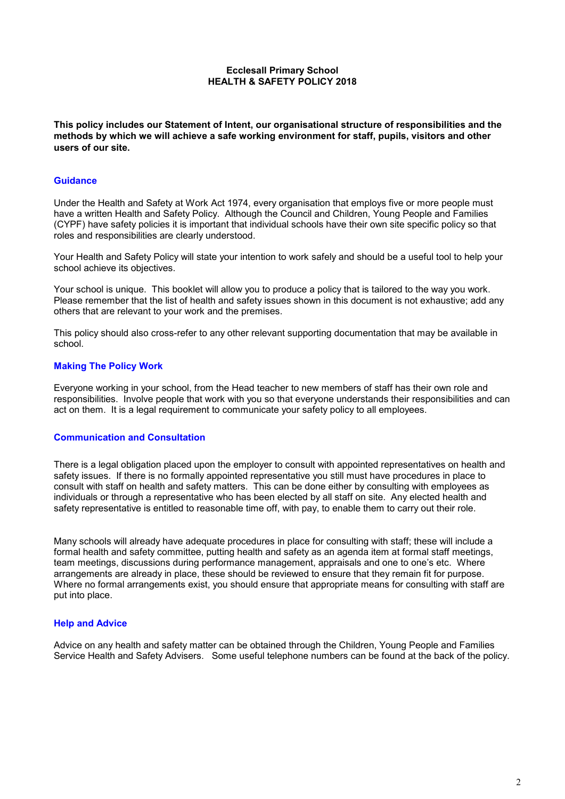## **Ecclesall Primary School HEALTH & SAFETY POLICY 2018**

**This policy includes our Statement of Intent, our organisational structure of responsibilities and the methods by which we will achieve a safe working environment for staff, pupils, visitors and other users of our site.**

#### **Guidance**

Under the Health and Safety at Work Act 1974, every organisation that employs five or more people must have a written Health and Safety Policy. Although the Council and Children, Young People and Families (CYPF) have safety policies it is important that individual schools have their own site specific policy so that roles and responsibilities are clearly understood.

Your Health and Safety Policy will state your intention to work safely and should be a useful tool to help your school achieve its objectives.

Your school is unique. This booklet will allow you to produce a policy that is tailored to the way you work. Please remember that the list of health and safety issues shown in this document is not exhaustive; add any others that are relevant to your work and the premises.

This policy should also cross-refer to any other relevant supporting documentation that may be available in school.

### **Making The Policy Work**

Everyone working in your school, from the Head teacher to new members of staff has their own role and responsibilities. Involve people that work with you so that everyone understands their responsibilities and can act on them. It is a legal requirement to communicate your safety policy to all employees.

#### **Communication and Consultation**

There is a legal obligation placed upon the employer to consult with appointed representatives on health and safety issues. If there is no formally appointed representative you still must have procedures in place to consult with staff on health and safety matters. This can be done either by consulting with employees as individuals or through a representative who has been elected by all staff on site. Any elected health and safety representative is entitled to reasonable time off, with pay, to enable them to carry out their role.

Many schools will already have adequate procedures in place for consulting with staff; these will include a formal health and safety committee, putting health and safety as an agenda item at formal staff meetings, team meetings, discussions during performance management, appraisals and one to one's etc. Where arrangements are already in place, these should be reviewed to ensure that they remain fit for purpose. Where no formal arrangements exist, you should ensure that appropriate means for consulting with staff are put into place.

#### **Help and Advice**

Advice on any health and safety matter can be obtained through the Children, Young People and Families Service Health and Safety Advisers. Some useful telephone numbers can be found at the back of the policy.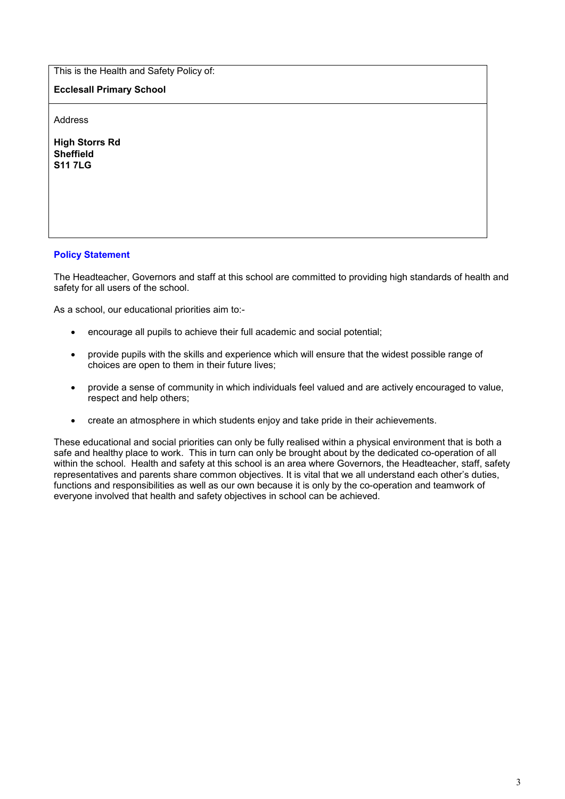This is the Health and Safety Policy of:

**Ecclesall Primary School**

Address

**High Storrs Rd Sheffield S11 7LG**

# **Policy Statement**

The Headteacher, Governors and staff at this school are committed to providing high standards of health and safety for all users of the school.

As a school, our educational priorities aim to:-

- encourage all pupils to achieve their full academic and social potential;
- provide pupils with the skills and experience which will ensure that the widest possible range of choices are open to them in their future lives;
- provide a sense of community in which individuals feel valued and are actively encouraged to value, respect and help others;
- create an atmosphere in which students enjoy and take pride in their achievements.

These educational and social priorities can only be fully realised within a physical environment that is both a safe and healthy place to work. This in turn can only be brought about by the dedicated co-operation of all within the school. Health and safety at this school is an area where Governors, the Headteacher, staff, safety representatives and parents share common objectives. It is vital that we all understand each other's duties, functions and responsibilities as well as our own because it is only by the co-operation and teamwork of everyone involved that health and safety objectives in school can be achieved.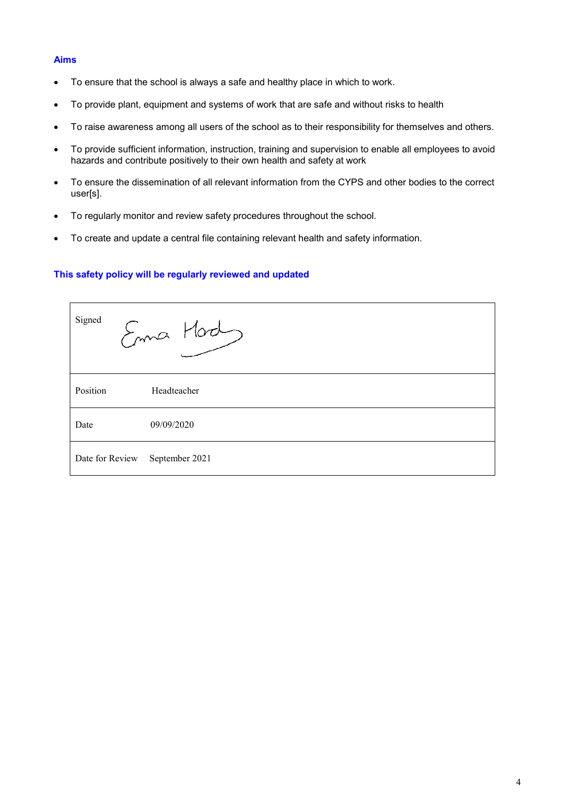# **Aims**

- To ensure that the school is always a safe and healthy place in which to work.
- To provide plant, equipment and systems of work that are safe and without risks to health
- To raise awareness among all users of the school as to their responsibility for themselves and others.
- To provide sufficient information, instruction, training and supervision to enable all employees to avoid hazards and contribute positively to their own health and safety at work
- To ensure the dissemination of all relevant information from the CYPS and other bodies to the correct user[s].
- To regularly monitor and review safety procedures throughout the school.
- To create and update a central file containing relevant health and safety information.

### **This safety policy will be regularly reviewed and updated**

| Signed          | Enna Mad       |
|-----------------|----------------|
| Position        | Headteacher    |
| Date            | 09/09/2020     |
| Date for Review | September 2021 |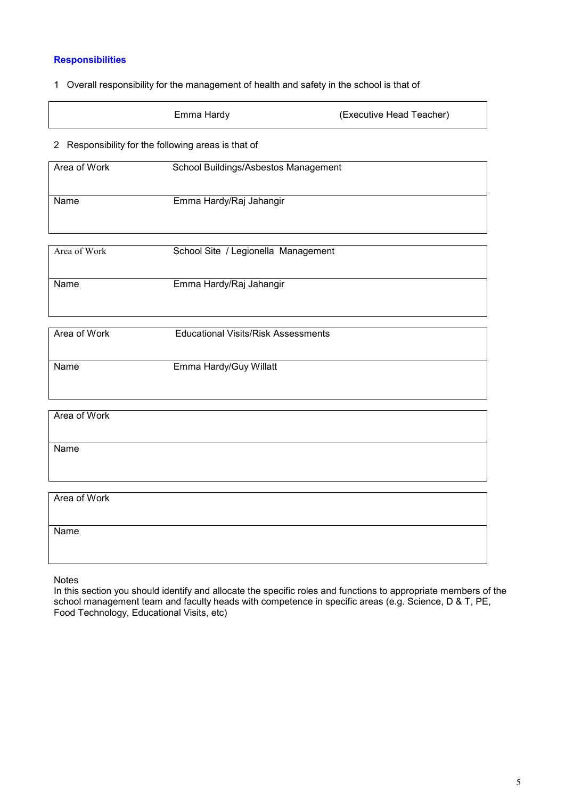# **Responsibilities**

## 1 Overall responsibility for the management of health and safety in the school is that of

| Emma Hardy | (Executive Head Teacher) |
|------------|--------------------------|
|            |                          |

# 2 Responsibility for the following areas is that of

| Area of Work | School Buildings/Asbestos Management |
|--------------|--------------------------------------|
|              |                                      |
|              |                                      |
|              |                                      |
|              |                                      |
| Name         | Emma Hardy/Raj Jahangir              |
|              |                                      |
|              |                                      |
|              |                                      |
|              |                                      |
|              |                                      |
|              |                                      |
| Area of Work | School Site / Legionella Management  |
|              |                                      |

| Name | Emma Hardy/Raj Jahangir |
|------|-------------------------|
|      |                         |
|      |                         |

| Area of Work | <b>Educational Visits/Risk Assessments</b> |
|--------------|--------------------------------------------|
| Name         | Emma Hardy/Guy Willatt                     |

| Area of Work |
|--------------|
|              |
|              |
|              |
|              |
| Name         |
|              |
|              |
|              |
|              |
|              |
|              |
|              |
| Area of Work |
|              |
|              |
|              |
|              |
| Name         |
|              |

Notes

In this section you should identify and allocate the specific roles and functions to appropriate members of the school management team and faculty heads with competence in specific areas (e.g. Science, D & T, PE, Food Technology, Educational Visits, etc)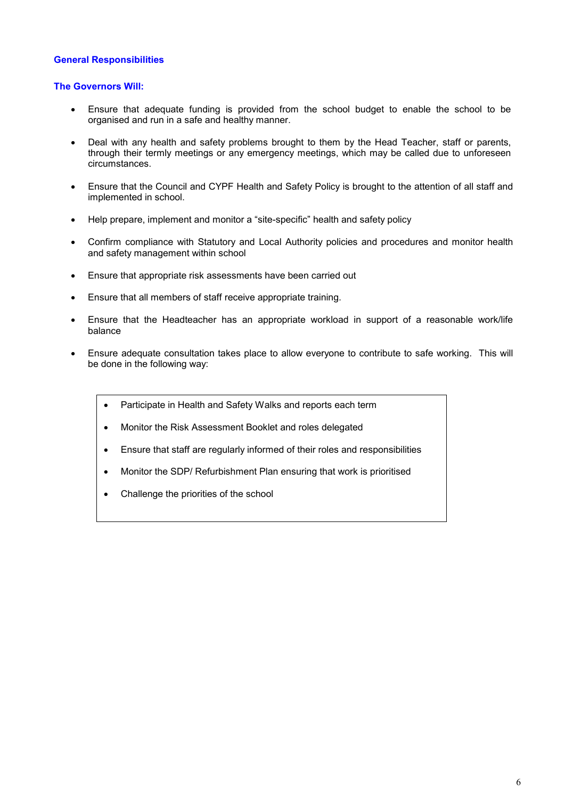## **General Responsibilities**

### **The Governors Will:**

- Ensure that adequate funding is provided from the school budget to enable the school to be organised and run in a safe and healthy manner.
- Deal with any health and safety problems brought to them by the Head Teacher, staff or parents, through their termly meetings or any emergency meetings, which may be called due to unforeseen circumstances.
- Ensure that the Council and CYPF Health and Safety Policy is brought to the attention of all staff and implemented in school.
- Help prepare, implement and monitor a "site-specific" health and safety policy
- Confirm compliance with Statutory and Local Authority policies and procedures and monitor health and safety management within school
- Ensure that appropriate risk assessments have been carried out
- Ensure that all members of staff receive appropriate training.
- Ensure that the Headteacher has an appropriate workload in support of a reasonable work/life balance
- Ensure adequate consultation takes place to allow everyone to contribute to safe working. This will be done in the following way:
	- Participate in Health and Safety Walks and reports each term
	- Monitor the Risk Assessment Booklet and roles delegated
	- Ensure that staff are regularly informed of their roles and responsibilities
	- Monitor the SDP/ Refurbishment Plan ensuring that work is prioritised
	- Challenge the priorities of the school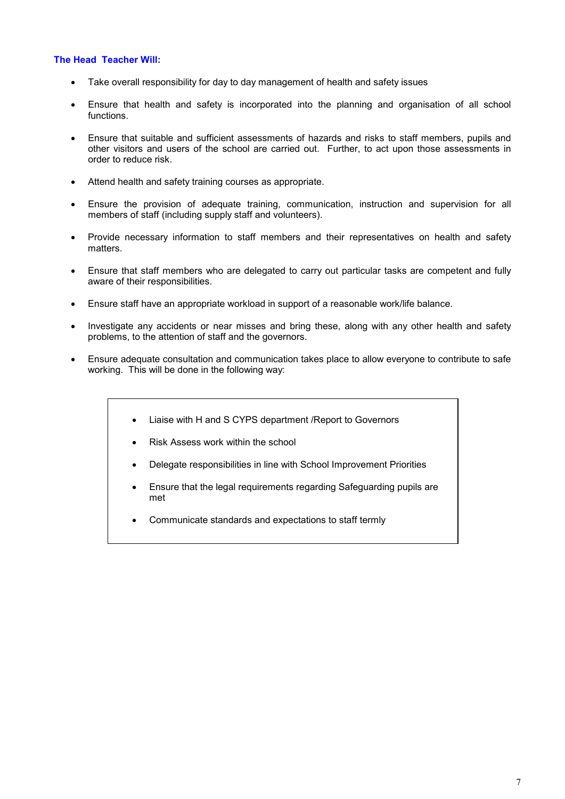## **The Head Teacher Will:**

- Take overall responsibility for day to day management of health and safety issues
- Ensure that health and safety is incorporated into the planning and organisation of all school functions.
- Ensure that suitable and sufficient assessments of hazards and risks to staff members, pupils and other visitors and users of the school are carried out. Further, to act upon those assessments in order to reduce risk.
- Attend health and safety training courses as appropriate.
- Ensure the provision of adequate training, communication, instruction and supervision for all members of staff (including supply staff and volunteers).
- Provide necessary information to staff members and their representatives on health and safety matters.
- Ensure that staff members who are delegated to carry out particular tasks are competent and fully aware of their responsibilities.
- Ensure staff have an appropriate workload in support of a reasonable work/life balance.
- Investigate any accidents or near misses and bring these, along with any other health and safety problems, to the attention of staff and the governors.
- Ensure adequate consultation and communication takes place to allow everyone to contribute to safe working. This will be done in the following way:
	- Liaise with H and S CYPS department /Report to Governors
	- Risk Assess work within the school
	- Delegate responsibilities in line with School Improvement Priorities
	- Ensure that the legal requirements regarding Safeguarding pupils are met
	- Communicate standards and expectations to staff termly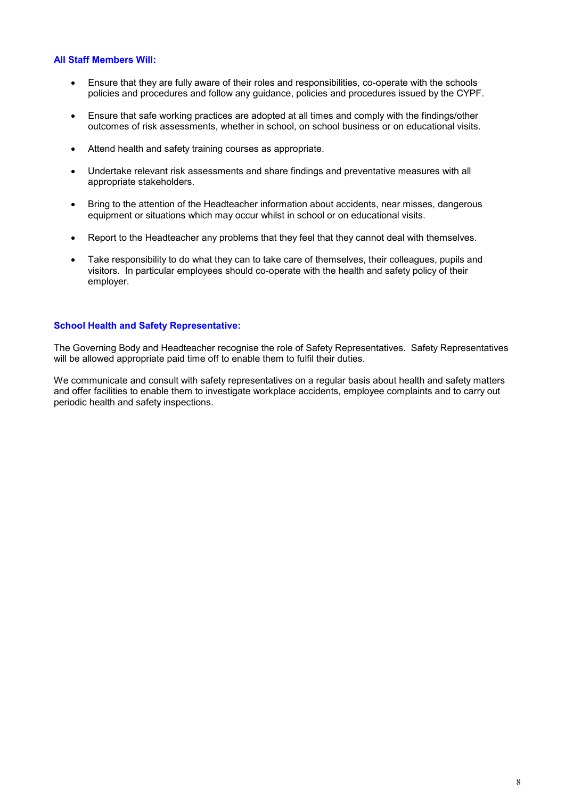# **All Staff Members Will:**

- Ensure that they are fully aware of their roles and responsibilities, co-operate with the schools policies and procedures and follow any guidance, policies and procedures issued by the CYPF.
- Ensure that safe working practices are adopted at all times and comply with the findings/other outcomes of risk assessments, whether in school, on school business or on educational visits.
- Attend health and safety training courses as appropriate.
- Undertake relevant risk assessments and share findings and preventative measures with all appropriate stakeholders.
- Bring to the attention of the Headteacher information about accidents, near misses, dangerous equipment or situations which may occur whilst in school or on educational visits.
- Report to the Headteacher any problems that they feel that they cannot deal with themselves.
- Take responsibility to do what they can to take care of themselves, their colleagues, pupils and visitors. In particular employees should co-operate with the health and safety policy of their employer.

# **School Health and Safety Representative:**

The Governing Body and Headteacher recognise the role of Safety Representatives. Safety Representatives will be allowed appropriate paid time off to enable them to fulfil their duties.

We communicate and consult with safety representatives on a regular basis about health and safety matters and offer facilities to enable them to investigate workplace accidents, employee complaints and to carry out periodic health and safety inspections.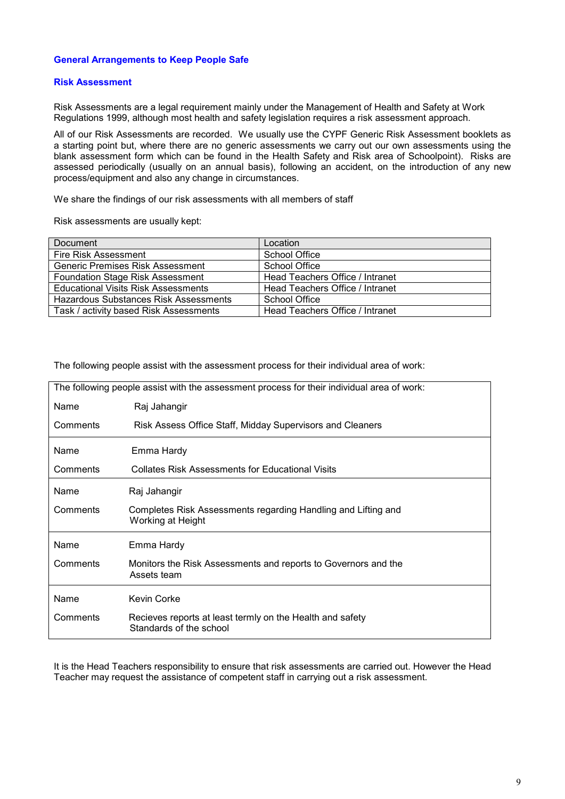## **General Arrangements to Keep People Safe**

#### **Risk Assessment**

Risk Assessments are a legal requirement mainly under the Management of Health and Safety at Work Regulations 1999, although most health and safety legislation requires a risk assessment approach.

All of our Risk Assessments are recorded. We usually use the CYPF Generic Risk Assessment booklets as a starting point but, where there are no generic assessments we carry out our own assessments using the blank assessment form which can be found in the Health Safety and Risk area of Schoolpoint). Risks are assessed periodically (usually on an annual basis), following an accident, on the introduction of any new process/equipment and also any change in circumstances.

We share the findings of our risk assessments with all members of staff

Risk assessments are usually kept:

| Document                                | Location                        |
|-----------------------------------------|---------------------------------|
| Fire Risk Assessment                    | <b>School Office</b>            |
| Generic Premises Risk Assessment        | School Office                   |
| <b>Foundation Stage Risk Assessment</b> | Head Teachers Office / Intranet |
| Educational Visits Risk Assessments     | Head Teachers Office / Intranet |
| Hazardous Substances Risk Assessments   | School Office                   |
| Task / activity based Risk Assessments  | Head Teachers Office / Intranet |

The following people assist with the assessment process for their individual area of work:

| The following people assist with the assessment process for their individual area of work: |                                                                                      |  |
|--------------------------------------------------------------------------------------------|--------------------------------------------------------------------------------------|--|
| Name                                                                                       | Raj Jahangir                                                                         |  |
| Comments                                                                                   | Risk Assess Office Staff, Midday Supervisors and Cleaners                            |  |
| Name                                                                                       | Emma Hardy                                                                           |  |
| Comments                                                                                   | <b>Collates Risk Assessments for Educational Visits</b>                              |  |
| Name                                                                                       | Raj Jahangir                                                                         |  |
| Comments                                                                                   | Completes Risk Assessments regarding Handling and Lifting and<br>Working at Height   |  |
| Name                                                                                       | Emma Hardy                                                                           |  |
| Comments                                                                                   | Monitors the Risk Assessments and reports to Governors and the<br>Assets team        |  |
| Name                                                                                       | Kevin Corke                                                                          |  |
| Comments                                                                                   | Recieves reports at least termly on the Health and safety<br>Standards of the school |  |

It is the Head Teachers responsibility to ensure that risk assessments are carried out. However the Head Teacher may request the assistance of competent staff in carrying out a risk assessment.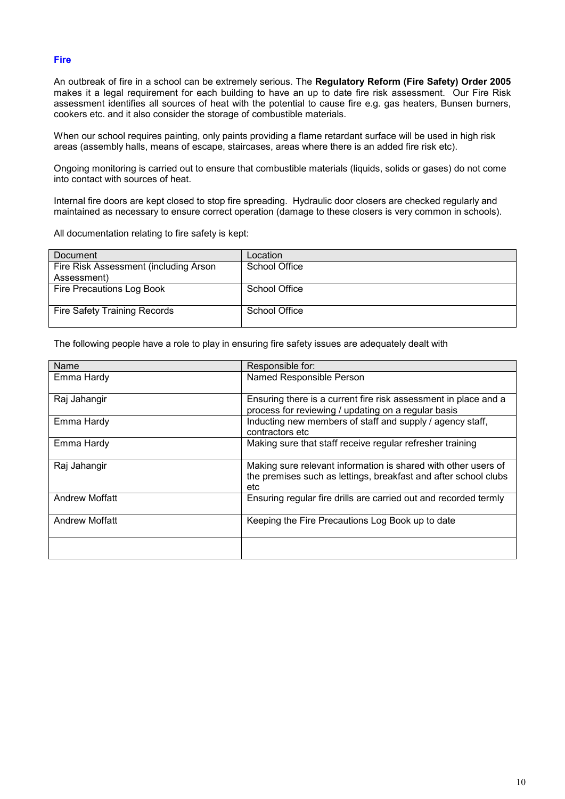# **Fire**

An outbreak of fire in a school can be extremely serious. The **Regulatory Reform (Fire Safety) Order 2005** makes it a legal requirement for each building to have an up to date fire risk assessment. Our Fire Risk assessment identifies all sources of heat with the potential to cause fire e.g. gas heaters, Bunsen burners, cookers etc. and it also consider the storage of combustible materials.

When our school requires painting, only paints providing a flame retardant surface will be used in high risk areas (assembly halls, means of escape, staircases, areas where there is an added fire risk etc).

Ongoing monitoring is carried out to ensure that combustible materials (liquids, solids or gases) do not come into contact with sources of heat.

Internal fire doors are kept closed to stop fire spreading. Hydraulic door closers are checked regularly and maintained as necessary to ensure correct operation (damage to these closers is very common in schools).

All documentation relating to fire safety is kept:

| Document                              | Location             |
|---------------------------------------|----------------------|
| Fire Risk Assessment (including Arson | <b>School Office</b> |
| Assessment)                           |                      |
| Fire Precautions Log Book             | School Office        |
|                                       |                      |
| <b>Fire Safety Training Records</b>   | School Office        |
|                                       |                      |

The following people have a role to play in ensuring fire safety issues are adequately dealt with

| Name                  | Responsible for:                                                                                                                         |
|-----------------------|------------------------------------------------------------------------------------------------------------------------------------------|
| Emma Hardy            | Named Responsible Person                                                                                                                 |
| Raj Jahangir          | Ensuring there is a current fire risk assessment in place and a<br>process for reviewing / updating on a regular basis                   |
| Emma Hardy            | Inducting new members of staff and supply / agency staff,<br>contractors etc                                                             |
| Emma Hardy            | Making sure that staff receive regular refresher training                                                                                |
| Raj Jahangir          | Making sure relevant information is shared with other users of<br>the premises such as lettings, breakfast and after school clubs<br>etc |
| <b>Andrew Moffatt</b> | Ensuring regular fire drills are carried out and recorded termly                                                                         |
| <b>Andrew Moffatt</b> | Keeping the Fire Precautions Log Book up to date                                                                                         |
|                       |                                                                                                                                          |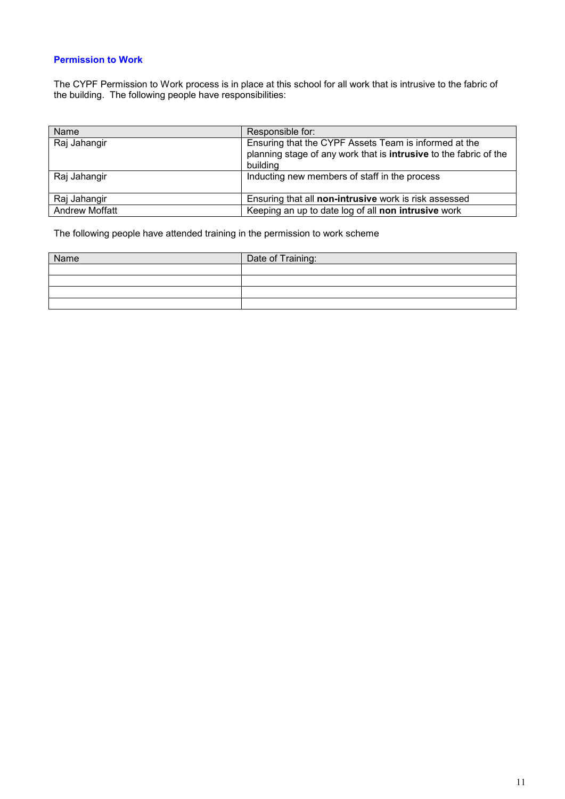# **Permission to Work**

The CYPF Permission to Work process is in place at this school for all work that is intrusive to the fabric of the building. The following people have responsibilities:

| Name                  | Responsible for:                                                                                                                              |
|-----------------------|-----------------------------------------------------------------------------------------------------------------------------------------------|
| Raj Jahangir          | Ensuring that the CYPF Assets Team is informed at the<br>planning stage of any work that is <b>intrusive</b> to the fabric of the<br>building |
| Raj Jahangir          | Inducting new members of staff in the process                                                                                                 |
| Raj Jahangir          | Ensuring that all non-intrusive work is risk assessed                                                                                         |
| <b>Andrew Moffatt</b> | Keeping an up to date log of all non intrusive work                                                                                           |

The following people have attended training in the permission to work scheme

| Name | Date of Training: |
|------|-------------------|
|      |                   |
|      |                   |
|      |                   |
|      |                   |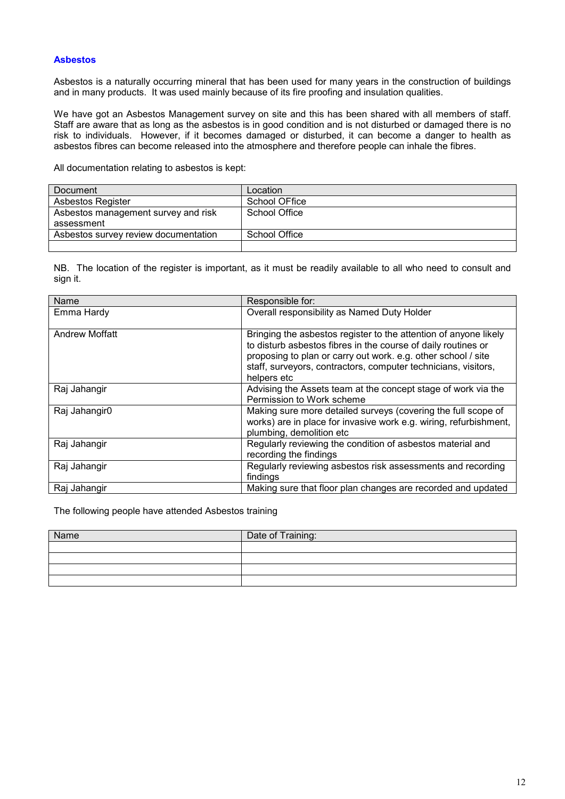## **Asbestos**

Asbestos is a naturally occurring mineral that has been used for many years in the construction of buildings and in many products. It was used mainly because of its fire proofing and insulation qualities.

We have got an Asbestos Management survey on site and this has been shared with all members of staff. Staff are aware that as long as the asbestos is in good condition and is not disturbed or damaged there is no risk to individuals. However, if it becomes damaged or disturbed, it can become a danger to health as asbestos fibres can become released into the atmosphere and therefore people can inhale the fibres.

All documentation relating to asbestos is kept:

| Document                             | Location      |
|--------------------------------------|---------------|
| Asbestos Register                    | School OFfice |
| Asbestos management survey and risk  | School Office |
| assessment                           |               |
| Asbestos survey review documentation | School Office |
|                                      |               |

NB. The location of the register is important, as it must be readily available to all who need to consult and sign it.

| Name                  | Responsible for:                                                                                                                                                                                                                                                                    |
|-----------------------|-------------------------------------------------------------------------------------------------------------------------------------------------------------------------------------------------------------------------------------------------------------------------------------|
| Emma Hardy            | Overall responsibility as Named Duty Holder                                                                                                                                                                                                                                         |
| <b>Andrew Moffatt</b> | Bringing the asbestos register to the attention of anyone likely<br>to disturb asbestos fibres in the course of daily routines or<br>proposing to plan or carry out work. e.g. other school / site<br>staff, surveyors, contractors, computer technicians, visitors,<br>helpers etc |
| Raj Jahangir          | Advising the Assets team at the concept stage of work via the<br>Permission to Work scheme                                                                                                                                                                                          |
| Raj Jahangir0         | Making sure more detailed surveys (covering the full scope of<br>works) are in place for invasive work e.g. wiring, refurbishment,<br>plumbing, demolition etc                                                                                                                      |
| Raj Jahangir          | Regularly reviewing the condition of asbestos material and<br>recording the findings                                                                                                                                                                                                |
| Raj Jahangir          | Regularly reviewing asbestos risk assessments and recording<br>findings                                                                                                                                                                                                             |
| Raj Jahangir          | Making sure that floor plan changes are recorded and updated                                                                                                                                                                                                                        |

The following people have attended Asbestos training

| Name | Date of Training: |
|------|-------------------|
|      |                   |
|      |                   |
|      |                   |
|      |                   |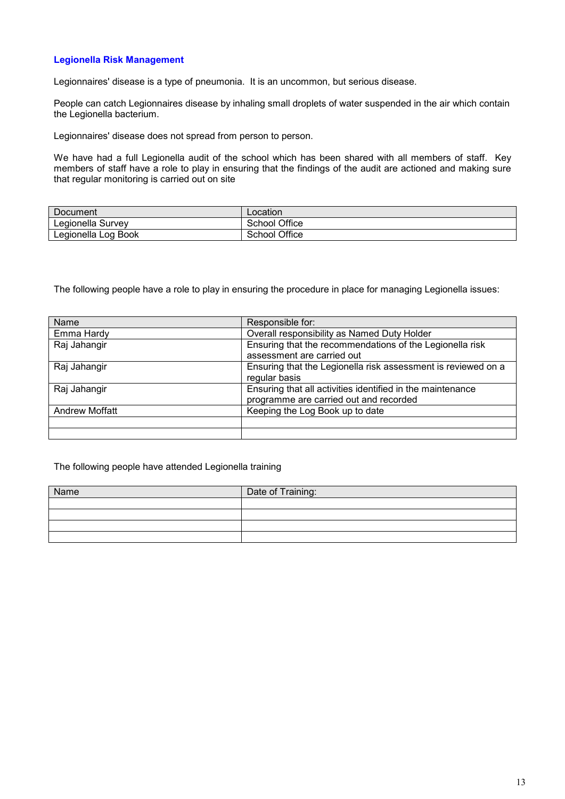# **Legionella Risk Management**

Legionnaires' disease is a type of pneumonia. It is an uncommon, but serious disease.

People can catch Legionnaires disease by inhaling small droplets of water suspended in the air which contain the Legionella bacterium.

Legionnaires' disease does not spread from person to person.

We have had a full Legionella audit of the school which has been shared with all members of staff. Key members of staff have a role to play in ensuring that the findings of the audit are actioned and making sure that regular monitoring is carried out on site

| Document            | Location             |
|---------------------|----------------------|
| Legionella Survey   | <b>School Office</b> |
| Legionella Log Book | <b>School Office</b> |

The following people have a role to play in ensuring the procedure in place for managing Legionella issues:

| Name                  | Responsible for:                                              |
|-----------------------|---------------------------------------------------------------|
| Emma Hardy            | Overall responsibility as Named Duty Holder                   |
| Raj Jahangir          | Ensuring that the recommendations of the Legionella risk      |
|                       | assessment are carried out                                    |
| Raj Jahangir          | Ensuring that the Legionella risk assessment is reviewed on a |
|                       | regular basis                                                 |
| Raj Jahangir          | Ensuring that all activities identified in the maintenance    |
|                       | programme are carried out and recorded                        |
| <b>Andrew Moffatt</b> | Keeping the Log Book up to date                               |
|                       |                                                               |
|                       |                                                               |

#### The following people have attended Legionella training

| Name | Date of Training: |
|------|-------------------|
|      |                   |
|      |                   |
|      |                   |
|      |                   |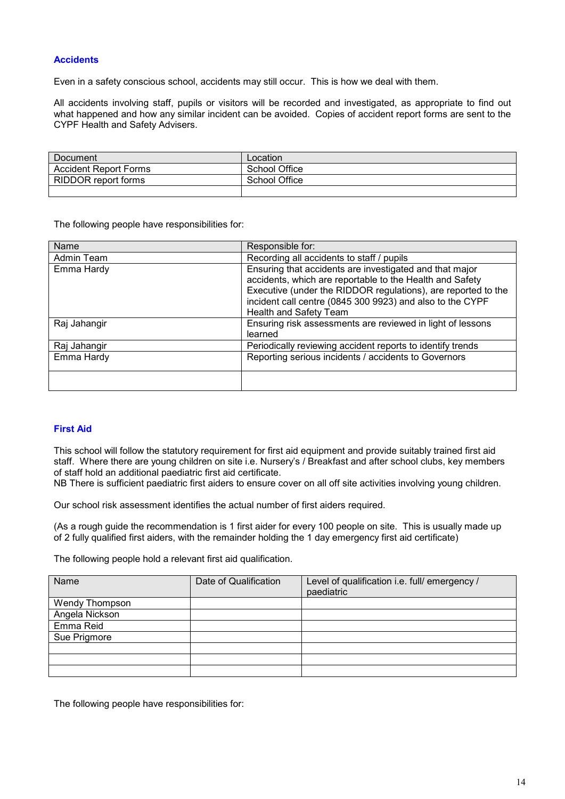# **Accidents**

Even in a safety conscious school, accidents may still occur. This is how we deal with them.

All accidents involving staff, pupils or visitors will be recorded and investigated, as appropriate to find out what happened and how any similar incident can be avoided. Copies of accident report forms are sent to the CYPF Health and Safety Advisers.

| Document                     | Location      |
|------------------------------|---------------|
| <b>Accident Report Forms</b> | School Office |
| RIDDOR report forms          | School Office |
|                              |               |

The following people have responsibilities for:

| Name         | Responsible for:                                                                                                                                                                                                                                                                   |
|--------------|------------------------------------------------------------------------------------------------------------------------------------------------------------------------------------------------------------------------------------------------------------------------------------|
| Admin Team   | Recording all accidents to staff / pupils                                                                                                                                                                                                                                          |
| Emma Hardy   | Ensuring that accidents are investigated and that major<br>accidents, which are reportable to the Health and Safety<br>Executive (under the RIDDOR regulations), are reported to the<br>incident call centre (0845 300 9923) and also to the CYPF<br><b>Health and Safety Team</b> |
| Raj Jahangir | Ensuring risk assessments are reviewed in light of lessons<br>learned                                                                                                                                                                                                              |
| Raj Jahangir | Periodically reviewing accident reports to identify trends                                                                                                                                                                                                                         |
| Emma Hardy   | Reporting serious incidents / accidents to Governors                                                                                                                                                                                                                               |
|              |                                                                                                                                                                                                                                                                                    |

#### **First Aid**

This school will follow the statutory requirement for first aid equipment and provide suitably trained first aid staff. Where there are young children on site i.e. Nursery's / Breakfast and after school clubs, key members of staff hold an additional paediatric first aid certificate.

NB There is sufficient paediatric first aiders to ensure cover on all off site activities involving young children.

Our school risk assessment identifies the actual number of first aiders required.

(As a rough guide the recommendation is 1 first aider for every 100 people on site. This is usually made up of 2 fully qualified first aiders, with the remainder holding the 1 day emergency first aid certificate)

The following people hold a relevant first aid qualification.

| Name                  | Date of Qualification | Level of qualification i.e. full/ emergency /<br>paediatric |
|-----------------------|-----------------------|-------------------------------------------------------------|
| <b>Wendy Thompson</b> |                       |                                                             |
| Angela Nickson        |                       |                                                             |
| Emma Reid             |                       |                                                             |
| Sue Prigmore          |                       |                                                             |
|                       |                       |                                                             |
|                       |                       |                                                             |
|                       |                       |                                                             |

The following people have responsibilities for: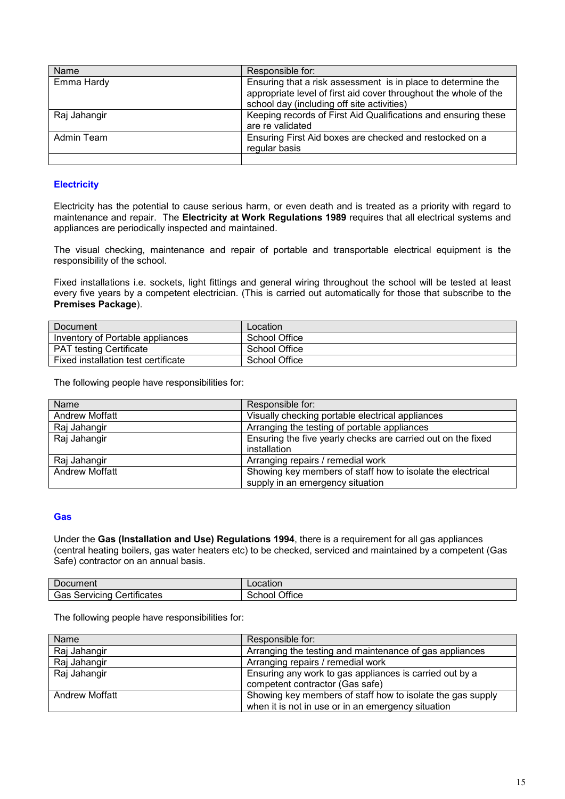| Name         | Responsible for:                                                                                                                                                               |
|--------------|--------------------------------------------------------------------------------------------------------------------------------------------------------------------------------|
| Emma Hardy   | Ensuring that a risk assessment is in place to determine the<br>appropriate level of first aid cover throughout the whole of the<br>school day (including off site activities) |
| Raj Jahangir | Keeping records of First Aid Qualifications and ensuring these<br>are re validated                                                                                             |
| Admin Team   | Ensuring First Aid boxes are checked and restocked on a<br>regular basis                                                                                                       |
|              |                                                                                                                                                                                |

# **Electricity**

Electricity has the potential to cause serious harm, or even death and is treated as a priority with regard to maintenance and repair. The **Electricity at Work Regulations 1989** requires that all electrical systems and appliances are periodically inspected and maintained.

The visual checking, maintenance and repair of portable and transportable electrical equipment is the responsibility of the school.

Fixed installations i.e. sockets, light fittings and general wiring throughout the school will be tested at least every five years by a competent electrician. (This is carried out automatically for those that subscribe to the **Premises Package**).

| Document                            | Location      |
|-------------------------------------|---------------|
| Inventory of Portable appliances    | School Office |
| <b>PAT testing Certificate</b>      | School Office |
| Fixed installation test certificate | School Office |

The following people have responsibilities for:

| Name                  | Responsible for:                                             |  |
|-----------------------|--------------------------------------------------------------|--|
| <b>Andrew Moffatt</b> | Visually checking portable electrical appliances             |  |
| Raj Jahangir          | Arranging the testing of portable appliances                 |  |
| Raj Jahangir          | Ensuring the five yearly checks are carried out on the fixed |  |
|                       | installation                                                 |  |
| Raj Jahangir          | Arranging repairs / remedial work                            |  |
| <b>Andrew Moffatt</b> | Showing key members of staff how to isolate the electrical   |  |
|                       | supply in an emergency situation                             |  |

#### **Gas**

Under the **Gas (Installation and Use) Regulations 1994**, there is a requirement for all gas appliances (central heating boilers, gas water heaters etc) to be checked, serviced and maintained by a competent (Gas Safe) contractor on an annual basis.

| Jocument                                     | _ocation         |
|----------------------------------------------|------------------|
| .<br>Servicing<br><i>C</i> ertificates<br>эd | Office<br>school |

The following people have responsibilities for:

| Name                  | Responsible for:                                           |  |
|-----------------------|------------------------------------------------------------|--|
| Raj Jahangir          | Arranging the testing and maintenance of gas appliances    |  |
| Raj Jahangir          | Arranging repairs / remedial work                          |  |
| Raj Jahangir          | Ensuring any work to gas appliances is carried out by a    |  |
|                       | competent contractor (Gas safe)                            |  |
| <b>Andrew Moffatt</b> | Showing key members of staff how to isolate the gas supply |  |
|                       | when it is not in use or in an emergency situation         |  |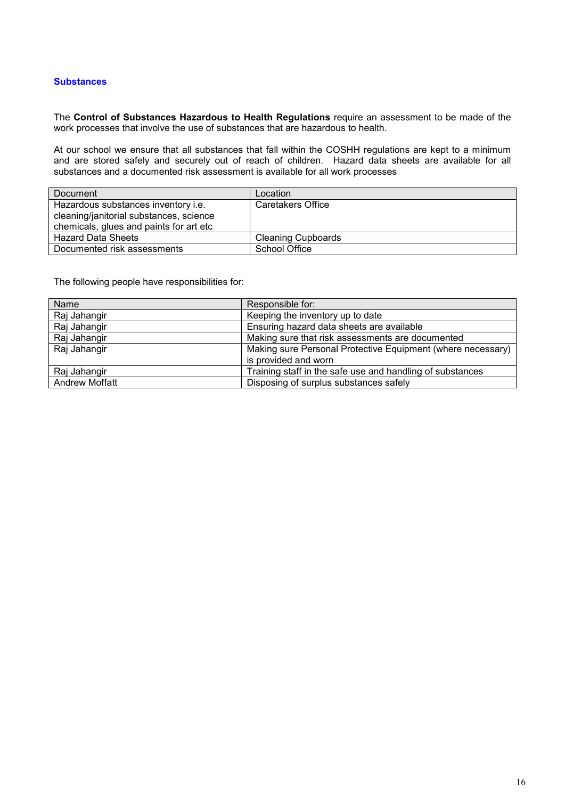### **Substances**

The **Control of Substances Hazardous to Health Regulations** require an assessment to be made of the work processes that involve the use of substances that are hazardous to health.

At our school we ensure that all substances that fall within the COSHH regulations are kept to a minimum and are stored safely and securely out of reach of children. Hazard data sheets are available for all substances and a documented risk assessment is available for all work processes

| Document                                | Location                  |
|-----------------------------------------|---------------------------|
| Hazardous substances inventory i.e.     | <b>Caretakers Office</b>  |
| cleaning/janitorial substances, science |                           |
| chemicals, glues and paints for art etc |                           |
| <b>Hazard Data Sheets</b>               | <b>Cleaning Cupboards</b> |
| Documented risk assessments             | School Office             |

The following people have responsibilities for:

| Name                  | Responsible for:                                            |  |
|-----------------------|-------------------------------------------------------------|--|
| Raj Jahangir          | Keeping the inventory up to date                            |  |
| Raj Jahangir          | Ensuring hazard data sheets are available                   |  |
| Raj Jahangir          | Making sure that risk assessments are documented            |  |
| Raj Jahangir          | Making sure Personal Protective Equipment (where necessary) |  |
|                       | is provided and worn                                        |  |
| Raj Jahangir          | Training staff in the safe use and handling of substances   |  |
| <b>Andrew Moffatt</b> | Disposing of surplus substances safely                      |  |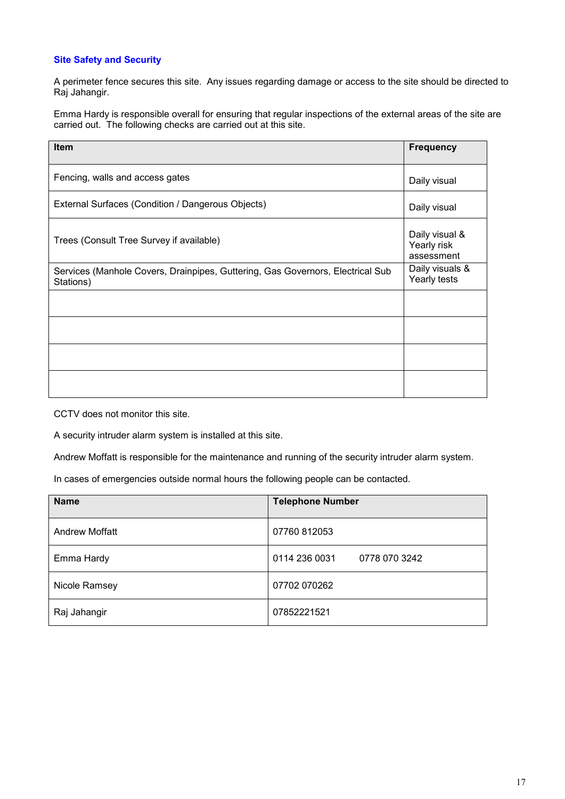# **Site Safety and Security**

A perimeter fence secures this site. Any issues regarding damage or access to the site should be directed to Raj Jahangir.

Emma Hardy is responsible overall for ensuring that regular inspections of the external areas of the site are carried out. The following checks are carried out at this site.

| Item                                                                                        | <b>Frequency</b>                            |
|---------------------------------------------------------------------------------------------|---------------------------------------------|
| Fencing, walls and access gates                                                             | Daily visual                                |
| External Surfaces (Condition / Dangerous Objects)                                           | Daily visual                                |
| Trees (Consult Tree Survey if available)                                                    | Daily visual &<br>Yearly risk<br>assessment |
| Services (Manhole Covers, Drainpipes, Guttering, Gas Governors, Electrical Sub<br>Stations) | Daily visuals &<br>Yearly tests             |
|                                                                                             |                                             |
|                                                                                             |                                             |
|                                                                                             |                                             |
|                                                                                             |                                             |

CCTV does not monitor this site.

A security intruder alarm system is installed at this site.

Andrew Moffatt is responsible for the maintenance and running of the security intruder alarm system.

In cases of emergencies outside normal hours the following people can be contacted.

| <b>Name</b>           | <b>Telephone Number</b>        |
|-----------------------|--------------------------------|
| <b>Andrew Moffatt</b> | 07760 812053                   |
| Emma Hardy            | 0114 236 0031<br>0778 070 3242 |
| Nicole Ramsey         | 07702 070262                   |
| Raj Jahangir          | 07852221521                    |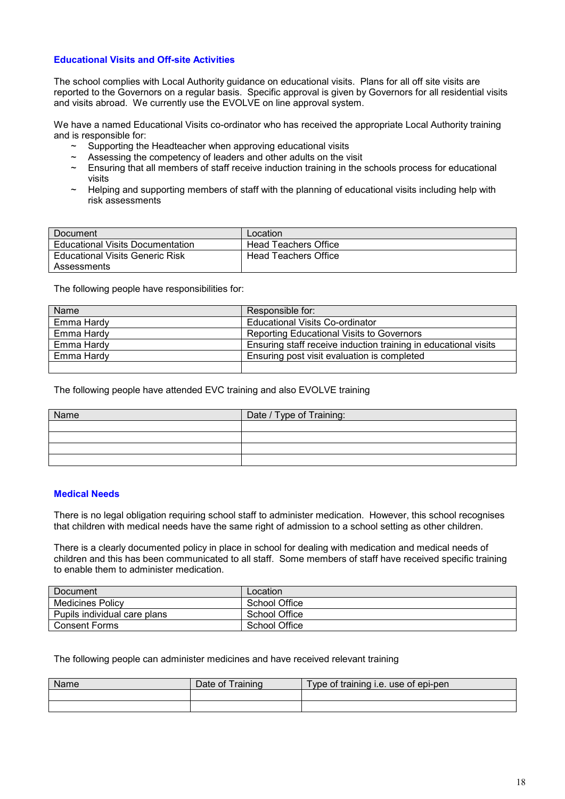# **Educational Visits and Off-site Activities**

The school complies with Local Authority guidance on educational visits. Plans for all off site visits are reported to the Governors on a regular basis. Specific approval is given by Governors for all residential visits and visits abroad. We currently use the EVOLVE on line approval system.

We have a named Educational Visits co-ordinator who has received the appropriate Local Authority training and is responsible for:

- $\sim$  Supporting the Headteacher when approving educational visits
- $\sim$  Assessing the competency of leaders and other adults on the visit
- $\sim$  Ensuring that all members of staff receive induction training in the schools process for educational visits
- ~ Helping and supporting members of staff with the planning of educational visits including help with risk assessments

| Document                                | Location                    |
|-----------------------------------------|-----------------------------|
| <b>Educational Visits Documentation</b> | <b>Head Teachers Office</b> |
| <b>Educational Visits Generic Risk</b>  | Head Teachers Office        |
| Assessments                             |                             |

The following people have responsibilities for:

| Name       | Responsible for:                                                |  |
|------------|-----------------------------------------------------------------|--|
| Emma Hardy | <b>Educational Visits Co-ordinator</b>                          |  |
| Emma Hardy | Reporting Educational Visits to Governors                       |  |
| Emma Hardy | Ensuring staff receive induction training in educational visits |  |
| Emma Hardy | Ensuring post visit evaluation is completed                     |  |
|            |                                                                 |  |

The following people have attended EVC training and also EVOLVE training

| Name | Date / Type of Training: |  |
|------|--------------------------|--|
|      |                          |  |
|      |                          |  |
|      |                          |  |
|      |                          |  |

# **Medical Needs**

There is no legal obligation requiring school staff to administer medication. However, this school recognises that children with medical needs have the same right of admission to a school setting as other children.

There is a clearly documented policy in place in school for dealing with medication and medical needs of children and this has been communicated to all staff. Some members of staff have received specific training to enable them to administer medication.

| Document                     | Location      |
|------------------------------|---------------|
| <b>Medicines Policy</b>      | School Office |
| Pupils individual care plans | School Office |
| <b>Consent Forms</b>         | School Office |

#### The following people can administer medicines and have received relevant training

| Name | Date of | Type of training i.e. use of epi-pen_ |
|------|---------|---------------------------------------|
|      |         |                                       |
|      |         |                                       |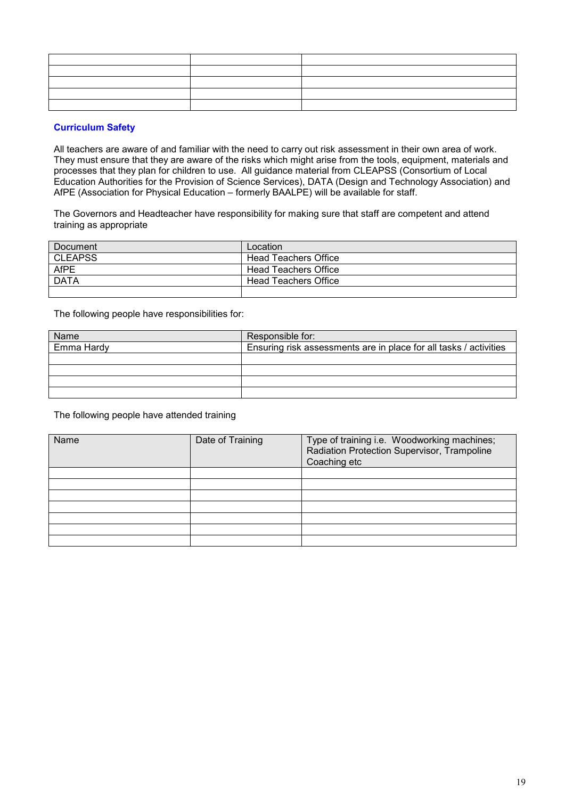| ,我们也不能在这里,我们也不能不能不能不能不能不能不能不能不能不能。""我们,我们也不能不能不能不能不能不能不能不能不能不能不能不能不能不能不能。""我们,我们 |  |
|----------------------------------------------------------------------------------|--|
|                                                                                  |  |
|                                                                                  |  |
|                                                                                  |  |

# **Curriculum Safety**

All teachers are aware of and familiar with the need to carry out risk assessment in their own area of work. They must ensure that they are aware of the risks which might arise from the tools, equipment, materials and processes that they plan for children to use. All guidance material from CLEAPSS (Consortium of Local Education Authorities for the Provision of Science Services), DATA (Design and Technology Association) and AfPE (Association for Physical Education – formerly BAALPE) will be available for staff.

The Governors and Headteacher have responsibility for making sure that staff are competent and attend training as appropriate

| Document       | Location             |
|----------------|----------------------|
| <b>CLEAPSS</b> | Head Teachers Office |
| <b>AfPE</b>    | Head Teachers Office |
| <b>DATA</b>    | Head Teachers Office |
|                |                      |

The following people have responsibilities for:

| Name       | Responsible for:                                                  |
|------------|-------------------------------------------------------------------|
| Emma Hardy | Ensuring risk assessments are in place for all tasks / activities |
|            |                                                                   |
|            |                                                                   |
|            |                                                                   |
|            |                                                                   |

The following people have attended training

| Name | Date of Training | Type of training i.e. Woodworking machines;<br>Radiation Protection Supervisor, Trampoline<br>Coaching etc |
|------|------------------|------------------------------------------------------------------------------------------------------------|
|      |                  |                                                                                                            |
|      |                  |                                                                                                            |
|      |                  |                                                                                                            |
|      |                  |                                                                                                            |
|      |                  |                                                                                                            |
|      |                  |                                                                                                            |
|      |                  |                                                                                                            |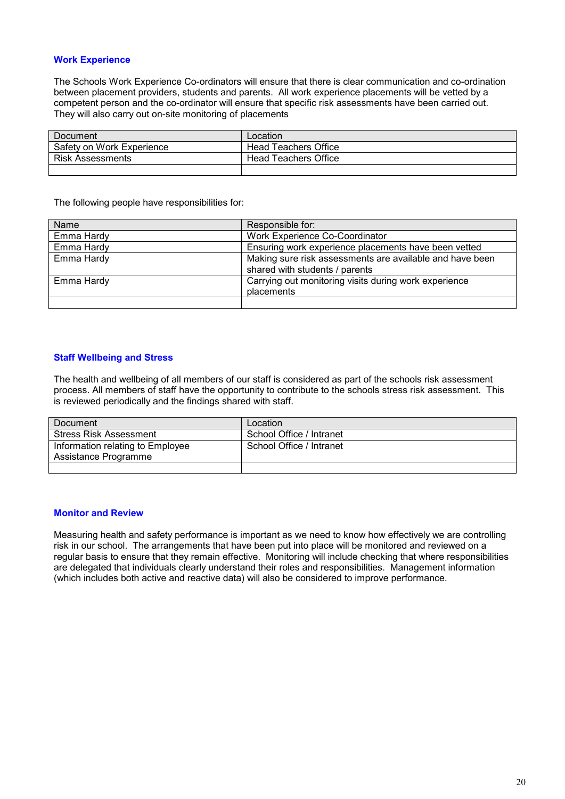# **Work Experience**

The Schools Work Experience Co-ordinators will ensure that there is clear communication and co-ordination between placement providers, students and parents. All work experience placements will be vetted by a competent person and the co-ordinator will ensure that specific risk assessments have been carried out. They will also carry out on-site monitoring of placements

| Document                  | Location             |
|---------------------------|----------------------|
| Safety on Work Experience | Head Teachers Office |
| <b>Risk Assessments</b>   | Head Teachers Office |
|                           |                      |

The following people have responsibilities for:

| Name       | Responsible for:                                         |
|------------|----------------------------------------------------------|
| Emma Hardy | Work Experience Co-Coordinator                           |
| Emma Hardy | Ensuring work experience placements have been vetted     |
| Emma Hardy | Making sure risk assessments are available and have been |
|            | shared with students / parents                           |
| Emma Hardy | Carrying out monitoring visits during work experience    |
|            | placements                                               |
|            |                                                          |

## **Staff Wellbeing and Stress**

The health and wellbeing of all members of our staff is considered as part of the schools risk assessment process. All members of staff have the opportunity to contribute to the schools stress risk assessment. This is reviewed periodically and the findings shared with staff.

| Document                         | Location                 |
|----------------------------------|--------------------------|
| <b>Stress Risk Assessment</b>    | School Office / Intranet |
| Information relating to Employee | School Office / Intranet |
| Assistance Programme             |                          |
|                                  |                          |

### **Monitor and Review**

Measuring health and safety performance is important as we need to know how effectively we are controlling risk in our school. The arrangements that have been put into place will be monitored and reviewed on a regular basis to ensure that they remain effective. Monitoring will include checking that where responsibilities are delegated that individuals clearly understand their roles and responsibilities. Management information (which includes both active and reactive data) will also be considered to improve performance.